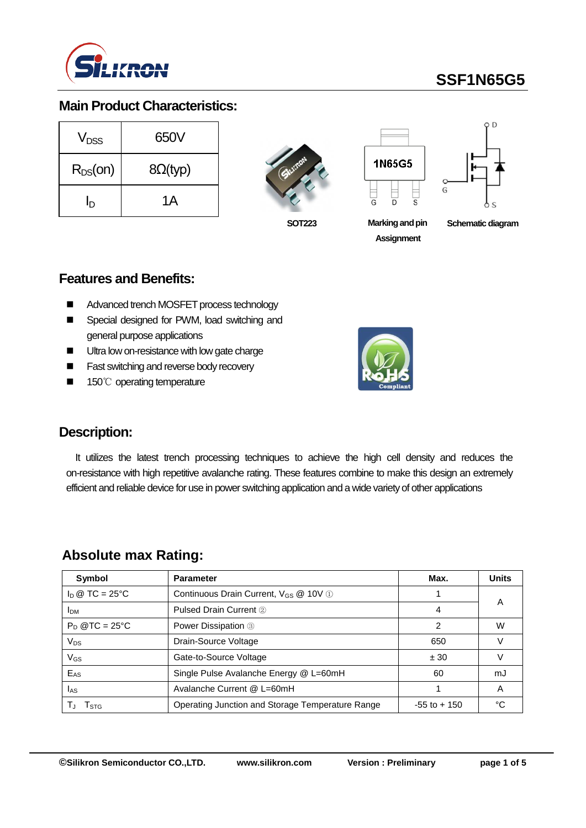

# **SSF1N65G5**

#### **Main Product Characteristics:**

| $V_{DSS}$    | 650V            |  |  |  |
|--------------|-----------------|--|--|--|
| $R_{DS}(on)$ | $8\Omega$ (typ) |  |  |  |
| In           | 1Α              |  |  |  |







**SOT223 Marking and pin Assignment**

**Schematic diagram** 

#### **Features and Benefits:**

- Advanced trench MOSFET process technology
- Special designed for PWM, load switching and general purpose applications
- Ultra low on-resistance with low gate charge
- **Fast switching and reverse body recovery**
- 150℃ operating temperature



### **Description:**

It utilizes the latest trench processing techniques to achieve the high cell density and reduces the on-resistance with high repetitive avalanche rating. These features combine to make this design an extremely efficient and reliable device for use in power switching application and a wide variety of other applications

## **Absolute max Rating:**

| Symbol                 | <b>Parameter</b>                                 | Max.            | <b>Units</b> |
|------------------------|--------------------------------------------------|-----------------|--------------|
| $\ln \omega$ TC = 25°C | Continuous Drain Current, $V_{GS}$ @ 10V (1)     |                 |              |
| <b>IDM</b>             | Pulsed Drain Current 2                           | 4               | A            |
| $P_D$ @TC = 25°C       | Power Dissipation 3                              | 2               | W            |
| $V_{DS}$               | Drain-Source Voltage                             | 650             |              |
| $V$ <sub>GS</sub>      | Gate-to-Source Voltage                           | ± 30            |              |
| E <sub>AS</sub>        | Single Pulse Avalanche Energy @ L=60mH           | 60              | mJ           |
| las.                   | Avalanche Current @ L=60mH                       |                 | Α            |
| l stg                  | Operating Junction and Storage Temperature Range | $-55$ to $+150$ | °C           |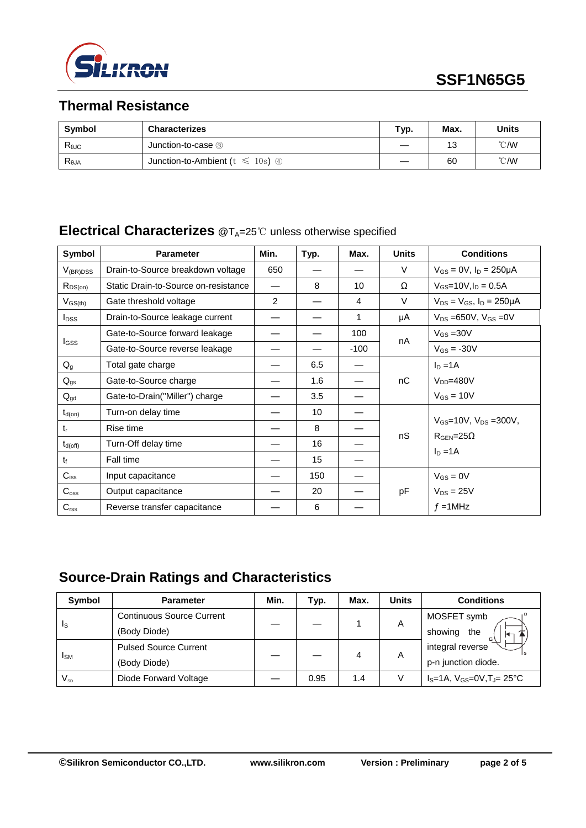

# **Thermal Resistance**

| Symbol         | <b>Characterizes</b>                  | Typ. | Max. | Units          |
|----------------|---------------------------------------|------|------|----------------|
| $R_{\theta$ JC | Junction-to-case 3                    |      | 13   | $^{\circ}$ CMV |
| $R_{\theta$ JA | Junction-to-Ambient ( $t \le 10$ s) 4 |      | 60   | $^{\circ}$ CMV |

### **Electrical Characterizes** @T<sub>A</sub>=25℃ unless otherwise specified

| Symbol           | <b>Parameter</b>                     | Min.           | Typ. | Max.   | <b>Units</b> | <b>Conditions</b>                                                           |
|------------------|--------------------------------------|----------------|------|--------|--------------|-----------------------------------------------------------------------------|
| $V_{(BR)DSS}$    | Drain-to-Source breakdown voltage    | 650            |      |        | V            | $V_{GS} = 0V$ , $I_D = 250 \mu A$                                           |
| $R_{DS(on)}$     | Static Drain-to-Source on-resistance |                | 8    | 10     | Ω            | $V_{GS}$ =10V, $I_D$ = 0.5A                                                 |
| $V_{GS(th)}$     | Gate threshold voltage               | $\overline{2}$ |      | 4      | V            | $V_{DS} = V_{GS}$ , $I_D = 250 \mu A$                                       |
| $I_{DSS}$        | Drain-to-Source leakage current      |                |      | 1      | μA           | $V_{DS} = 650V$ , $V_{GS} = 0V$                                             |
|                  | Gate-to-Source forward leakage       |                |      | 100    |              | $V_{GS}$ = 30 V                                                             |
| <b>I</b> GSS     | Gate-to-Source reverse leakage       |                |      | $-100$ | nA           | $V_{GS} = -30V$                                                             |
| $Q_{q}$          | Total gate charge                    |                | 6.5  |        |              | $I_D = 1A$                                                                  |
| $Q_{gs}$         | Gate-to-Source charge                |                | 1.6  |        | nC           | $V_{DD} = 480V$                                                             |
| $Q_{gd}$         | Gate-to-Drain("Miller") charge       |                | 3.5  |        |              | $V_{GS} = 10V$                                                              |
| $t_{d(on)}$      | Turn-on delay time                   |                | 10   |        |              | $V_{GS}$ =10V, $V_{DS}$ =300V,<br>$R_{\text{GEN}} = 25\Omega$<br>$I_D = 1A$ |
| $t_{r}$          | Rise time                            |                | 8    |        |              |                                                                             |
| $t_{d(off)}$     | Turn-Off delay time                  |                | 16   |        | nS           |                                                                             |
| t                | Fall time                            |                | 15   |        |              |                                                                             |
| $C_{\text{iss}}$ | Input capacitance                    |                | 150  |        | pF           | $V_{GS} = 0V$                                                               |
| $C_{\rm oss}$    | Output capacitance                   |                | 20   |        |              | $V_{DS} = 25V$                                                              |
| C <sub>rss</sub> | Reverse transfer capacitance         |                | 6    |        |              | $f = 1$ MHz                                                                 |

# **Source-Drain Ratings and Characteristics**

| <b>Symbol</b>          | <b>Parameter</b>                 | Min. | Typ. | Max. | <b>Units</b> | <b>Conditions</b>                                |
|------------------------|----------------------------------|------|------|------|--------------|--------------------------------------------------|
| Is                     | <b>Continuous Source Current</b> |      |      |      | Α            | MOSFET symb                                      |
|                        | (Body Diode)                     |      |      |      |              | showing<br>the                                   |
| <b>I</b> <sub>SM</sub> | <b>Pulsed Source Current</b>     |      |      | 4    | A            | integral reverse                                 |
|                        | (Body Diode)                     |      |      |      |              | p-n junction diode.                              |
| $V_{SD}$               | Diode Forward Voltage            |      | 0.95 | 1.4  |              | $I_S = 1A$ , $V_{GS} = 0V$ , $T_J = 25^{\circ}C$ |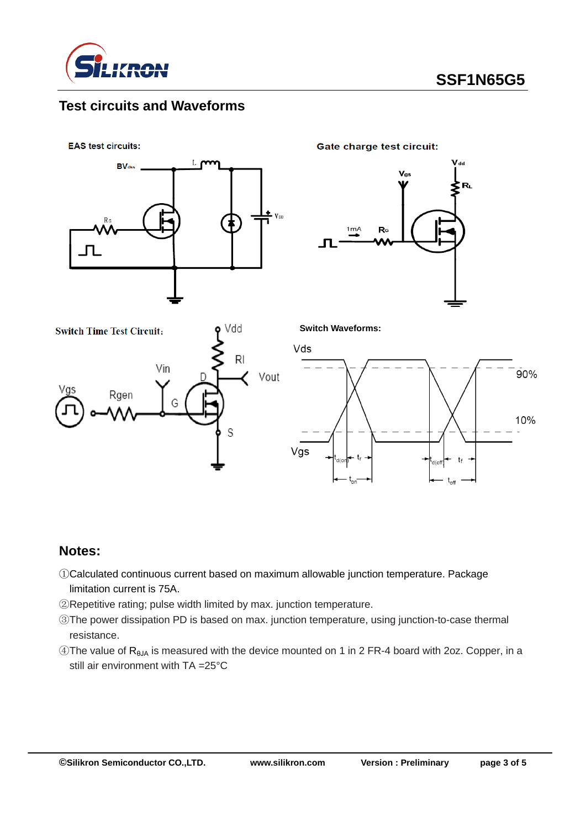

### **Test circuits and Waveforms**

**EAS test circuits:** 



Gate charge test circuit:





#### **Notes:**

- ①Calculated continuous current based on maximum allowable junction temperature. Package limitation current is 75A.
- ②Repetitive rating; pulse width limited by max. junction temperature.
- ③The power dissipation PD is based on max. junction temperature, using junction-to-case thermal resistance.
- $\widehat{A}$ The value of R<sub>BJA</sub> is measured with the device mounted on 1 in 2 FR-4 board with 2oz. Copper, in a still air environment with TA =25°C

90%

10%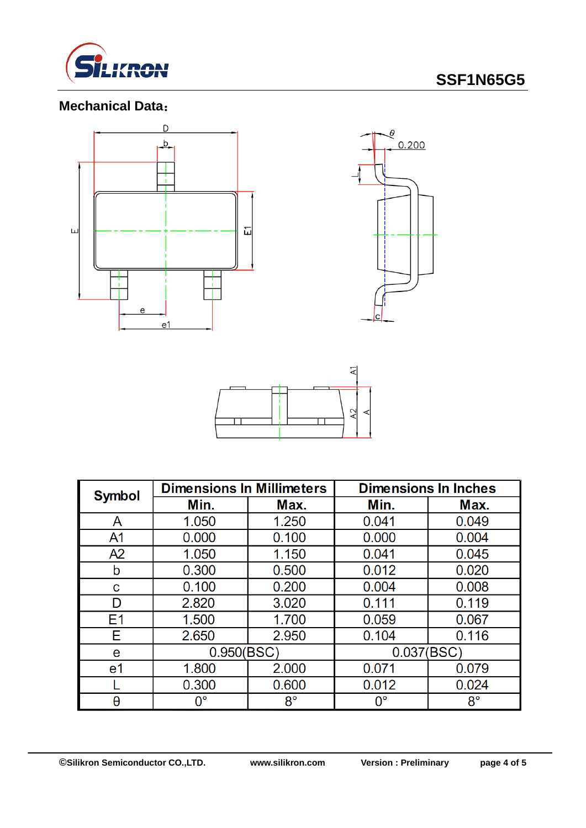

# **SSF1N65G5**

## **Mechanical Data**:





| <b>Symbol</b>  | <b>Dimensions In Millimeters</b> |             | <b>Dimensions In Inches</b> |             |  |
|----------------|----------------------------------|-------------|-----------------------------|-------------|--|
|                | Min.                             | Max.        | Min.                        | Max.        |  |
| A              | 1.050                            | 1.250       | 0.041                       | 0.049       |  |
| A <sub>1</sub> | 0.000                            | 0.100       | 0.000                       | 0.004       |  |
| A2             | 1.050                            | 1.150       | 0.041                       | 0.045       |  |
| b              | 0.300                            | 0.500       | 0.012                       | 0.020       |  |
| C              | 0.100                            | 0.200       | 0.004                       | 0.008       |  |
| D              | 2.820                            | 3.020       | 0.111                       | 0.119       |  |
| E <sub>1</sub> | 1.500                            | 1.700       | 0.059                       | 0.067       |  |
| Е              | 2.650                            | 2.950       | 0.104                       | 0.116       |  |
| e              | 0.950(BSC)                       |             | 0.037(BSC)                  |             |  |
| e1             | 1.800                            | 2.000       | 0.071                       | 0.079       |  |
|                | 0.300                            | 0.600       | 0.012                       | 0.024       |  |
| θ              | $0^{\circ}$                      | $8^{\circ}$ | $\mathsf{O}^\circ$          | $8^{\circ}$ |  |